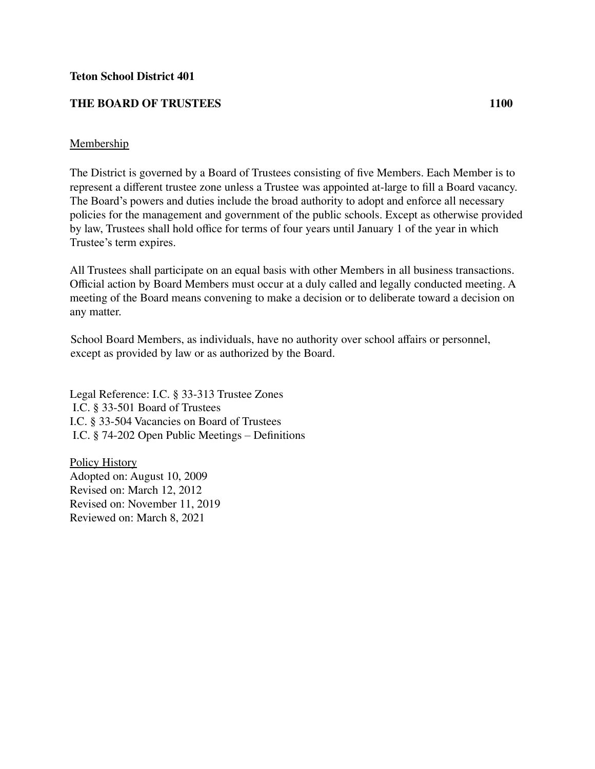## **Teton School District 401**

## **THE BOARD OF TRUSTEES 1100**

## Membership

The District is governed by a Board of Trustees consisting of five Members. Each Member is to represent a different trustee zone unless a Trustee was appointed at-large to fill a Board vacancy. The Board's powers and duties include the broad authority to adopt and enforce all necessary policies for the management and government of the public schools. Except as otherwise provided by law, Trustees shall hold office for terms of four years until January 1 of the year in which Trustee's term expires.

All Trustees shall participate on an equal basis with other Members in all business transactions. Official action by Board Members must occur at a duly called and legally conducted meeting. A meeting of the Board means convening to make a decision or to deliberate toward a decision on any matter.

School Board Members, as individuals, have no authority over school affairs or personnel, except as provided by law or as authorized by the Board.

Legal Reference: I.C. § 33-313 Trustee Zones I.C. § 33-501 Board of Trustees I.C. § 33-504 Vacancies on Board of Trustees I.C. § 74-202 Open Public Meetings – Definitions

Policy History Adopted on: August 10, 2009 Revised on: March 12, 2012 Revised on: November 11, 2019 Reviewed on: March 8, 2021